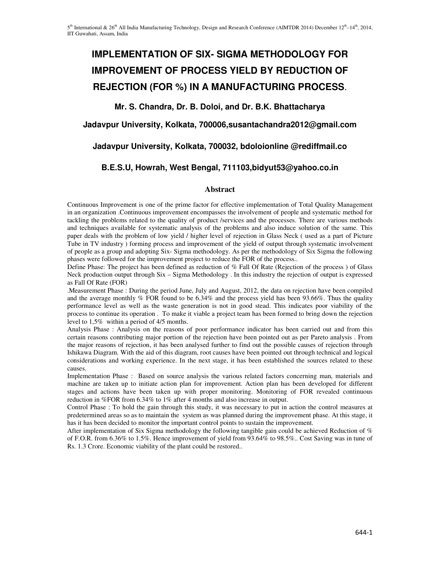# **IMPLEMENTATION OF SIX- SIGMA METHODOLOGY FOR IMPROVEMENT OF PROCESS YIELD BY REDUCTION OF REJECTION (FOR %) IN A MANUFACTURING PROCESS**.

# **Mr. S. Chandra, Dr. B. Doloi, and Dr. B.K. Bhattacharya**

## **Jadavpur University, Kolkata, 700006,susantachandra2012@gmail.com**

## **Jadavpur University, Kolkata, 700032, bdoloionline @rediffmail.co**

## **B.E.S.U, Howrah, West Bengal, 711103,bidyut53@yahoo.co.in**

#### **Abstract**

Continuous Improvement is one of the prime factor for effective implementation of Total Quality Management in an organization .Continuous improvement encompasses the involvement of people and systematic method for tackling the problems related to the quality of product /services and the processes. There are various methods and techniques available for systematic analysis of the problems and also induce solution of the same. This paper deals with the problem of low yield / higher level of rejection in Glass Neck ( used as a part of Picture Tube in TV industry ) forming process and improvement of the yield of output through systematic involvement of people as a group and adopting Six- Sigma methodology. As per the methodology of Six Sigma the following phases were followed for the improvement project to reduce the FOR of the process..

Define Phase: The project has been defined as reduction of % Fall Of Rate (Rejection of the process ) of Glass Neck production output through Six – Sigma Methodology . In this industry the rejection of output is expressed as Fall Of Rate (FOR)

.Measurement Phase : During the period June, July and August, 2012, the data on rejection have been compiled and the average monthly % FOR found to be 6.34% and the process yield has been 93.66%. Thus the quality performance level as well as the waste generation is not in good stead. This indicates poor viability of the process to continue its operation . To make it viable a project team has been formed to bring down the rejection level to 1,5% within a period of 4/5 months.

Analysis Phase : Analysis on the reasons of poor performance indicator has been carried out and from this certain reasons contributing major portion of the rejection have been pointed out as per Pareto analysis . From the major reasons of rejection, it has been analysed further to find out the possible causes of rejection through Ishikawa Diagram. With the aid of this diagram, root causes have been pointed out through technical and logical considerations and working experience. In the next stage, it has been established the sources related to these causes.

Implementation Phase : Based on source analysis the various related factors concerning man, materials and machine are taken up to initiate action plan for improvement. Action plan has been developed for different stages and actions have been taken up with proper monitoring. Monitoring of FOR revealed continuous reduction in %FOR from 6.34% to 1% after 4 months and also increase in output.

Control Phase : To hold the gain through this study, it was necessary to put in action the control measures at predetermined areas so as to maintain the system as was planned during the improvement phase. At this stage, it has it has been decided to monitor the important control points to sustain the improvement.

After implementation of Six Sigma methodology the following tangible gain could be achieved Reduction of % of F.O.R. from 6.36% to 1.5%. Hence improvement of yield from 93.64% to 98.5%.. Cost Saving was in tune of Rs. 1.3 Crore. Economic viability of the plant could be restored..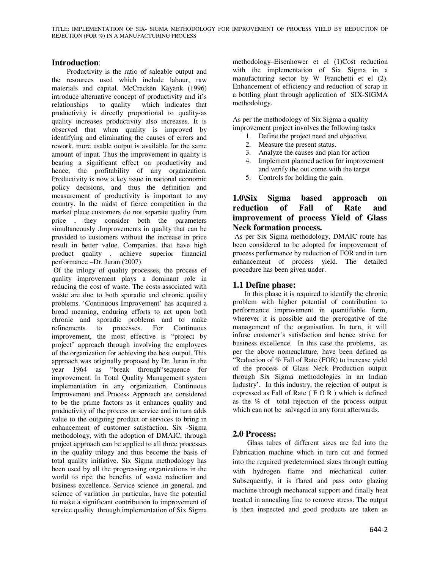### **Introduction**:

 Productivity is the ratio of saleable output and the resources used which include labour, raw materials and capital. McCracken Kayank (1996) introduce alternative concept of productivity and it's relationships to quality which indicates that productivity is directly proportional to quality-as quality increases productivity also increases. It is observed that when quality is improved by identifying and eliminating the causes of errors and rework, more usable output is available for the same amount of input. Thus the improvement in quality is bearing a significant effect on productivity and hence, the profitability of any organization. Productivity is now a key issue in national economic policy decisions, and thus the definition and measurement of productivity is important to any country. In the midst of fierce competition in the market place customers do not separate quality from price , they consider both the parameters simultaneously .Improvements in quality that can be provided to customers without the increase in price result in better value. Companies. that have high product quality . achieve superior financial performance –Dr. Juran (2007).

 Of the trilogy of quality processes, the process of quality improvement plays a dominant role in reducing the cost of waste. The costs associated with waste are due to both sporadic and chronic quality problems. 'Continuous Improvement' has acquired a broad meaning, enduring efforts to act upon both chronic and sporadic problems and to make refinements to processes. For Continuous improvement, the most effective is "project by project" approach through involving the employees of the organization for achieving the best output. This approach was originally proposed by Dr. Juran in the year 1964 as "break through"sequence for improvement. In Total Quality Management system implementation in any organization, Continuous Improvement and Process Approach are considered to be the prime factors as it enhances quality and productivity of the process or service and in turn adds value to the outgoing product or services to bring in enhancement of customer satisfaction. Six -Sigma methodology, with the adoption of DMAIC, through project approach can be applied to all three processes in the quality trilogy and thus become the basis of total quality initiative. Six Sigma methodology has been used by all the progressing organizations in the world to ripe the benefits of waste reduction and business excellence. Service science ,in general, and science of variation ,in particular, have the potential to make a significant contribution to improvement of service quality through implementation of Six Sigma

methodology–Eisenhower et el (1)Cost reduction with the implementation of Six Sigma in a manufacturing sector by W Franchetti et el (2). Enhancement of efficiency and reduction of scrap in a bottling plant through application of SIX-SIGMA methodology.

As per the methodology of Six Sigma a quality improvement project involves the following tasks

- 1. Define the project need and objective.
- 2. Measure the present status.
- 3. Analyze the causes and plan for action
- 4. Implement planned action for improvement and verify the out come with the target
- 5. Controls for holding the gain.

## **1.0\Six Sigma based approach on reduction of Fall of Rate and improvement of process Yield of Glass Neck formation process.**

 As per Six Sigma methodology, DMAIC route has been considered to be adopted for improvement of process performance by reduction of FOR and in turn enhancement of process yield. The detailed procedure has been given under.

### **1.1 Define phase:**

 In this phase it is required to identify the chronic problem with higher potential of contribution to performance improvement in quantifiable form, wherever it is possible and the prerogative of the management of the organisation. In turn, it will infuse customer's satisfaction and hence strive for business excellence. In this case the problems, as per the above nomenclature, have been defined as "Reduction of % Fall of Rate (FOR) to increase yield of the process of Glass Neck Production output through Six Sigma methodologies in an Indian Industry'. In this industry, the rejection of output is expressed as Fall of Rate ( $F \circ R$ ) which is defined as the % of total rejection of the process output which can not be salvaged in any form afterwards.

#### **2.0 Process:**

 Glass tubes of different sizes are fed into the Fabrication machine which in turn cut and formed into the required predetermined sizes through cutting with hydrogen flame and mechanical cutter. Subsequently, it is flared and pass onto glazing machine through mechanical support and finally heat treated in annealing line to remove stress. The output is then inspected and good products are taken as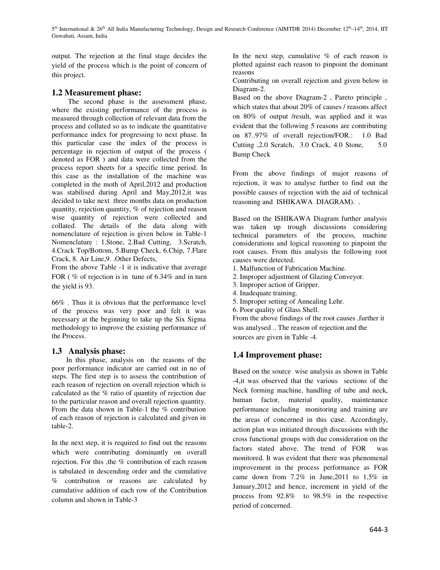5<sup>th</sup> International & 26<sup>th</sup> All India Manufacturing Technology, Design and Research Conference (AIMTDR 2014) December 12<sup>th</sup>–14<sup>th</sup>, 2014, IIT Guwahati, Assam, India

output. The rejection at the final stage decides the yield of the process which is the point of concern of this project.

#### **1.2 Measurement phase:**

 The second phase is the assessment phase, where the existing performance of the process is measured through collection of relevant data from the process and collated so as to indicate the quantitative performance index for progressing to next phase. In this particular case the index of the process is percentage in rejection of output of the process ( denoted as FOR ) and data were collected from the process report sheets for a specific time period. In this case as the installation of the machine was completed in the moth of April,2012 and production was stabilised during April and May,2012,it was decided to take next three months data on production quantity, rejection quantity, % of rejection and reason wise quantity of rejection were collected and collated. The details of the data along with nomenclature of rejection is given below in Table-1 Nomenclature : 1.Stone, 2.Bad Cutting, 3.Scratch, 4.Crack Top/Bottom, 5.Bump Check, 6.Chip, 7.Flare Crack, 8. Air Line,9. .Other Defects,

From the above Table -1 it is indicative that average FOR (% of rejection is in tune of 6.34% and in turn the yield is 93.

66% . Thus it is obvious that the performance level of the process was very poor and felt it was necessary at the beginning to take up the Six Sigma methodology to improve the existing performance of the Process.

#### **1.3 Analysis phase:**

 In this phase, analysis on the reasons of the poor performance indicator are carried out in no of steps. The first step is to assess the contribution of each reason of rejection on overall rejection which is calculated as the % ratio of quantity of rejection due to the particular reason and overall rejection quantity. From the data shown in Table-1 the % contribution of each reason of rejection is calculated and given in table-2.

In the next step, it is required to find out the reasons which were contributing dominantly on overall rejection. For this ,the % contribution of each reason is tabulated in descending order and the cumulative % contribution or reasons are calculated by cumulative addition of each row of the Contribution column and shown in Table-3

In the next step, cumulative  $%$  of each reason is plotted against each reason to pinpoint the dominant reasons

Contributing on overall rejection and given below in Diagram-2.

Based on the above Diagram-2 , Pareto principle , which states that about 20% of causes / reasons affect on 80% of output /result, was applied and it was evident that the following 5 reasons are contributing on 87..97% of overall rejection/FOR.: 1.0 Bad Cutting ,2.0 Scratch, 3.0 Crack, 4.0 Stone, 5.0 Bump Check

From the above findings of major reasons of rejection, it was to analyse further to find out the possible causes of rejection with the aid of technical reasoning and ISHIKAWA DIAGRAM). .

Based on the ISHIKAWA Diagram further analysis was taken up trough discussions considering technical parameters of the process, machine considerations and logical reasoning to pinpoint the root causes. From this analysis the following root causes were detected.

1. Malfunction of Fabrication Machine.

- 2. Improper adjustment of Glazing Conveyor.
- 3. Improper action of Gripper.
- 4. Inadequate training.
- 5. Improper setting of Annealing Lehr.
- 6. Poor quality of Glass Shell.

From the above findings of the root causes ,further it was analysed .. The reason of rejection and the sources are given in Table -4.

## **1.4 Improvement phase:**

Based on the source wise analysis as shown in Table -4,it was observed that the various sections of the Neck forming machine, handling of tube and neck, human factor, material quality, maintenance performance including monitoring and training are the areas of concerned in this case. Accordingly, action plan was initiated through discussions with the cross functional groups with due consideration on the factors stated above. The trend of FOR monitored. It was evident that there was phenomenal improvement in the process performance as FOR came down from 7.2% in June,2011 to 1,5% in January,2012 and hence, increment in yield of the process from 92.8% to 98.5% in the respective period of concerned.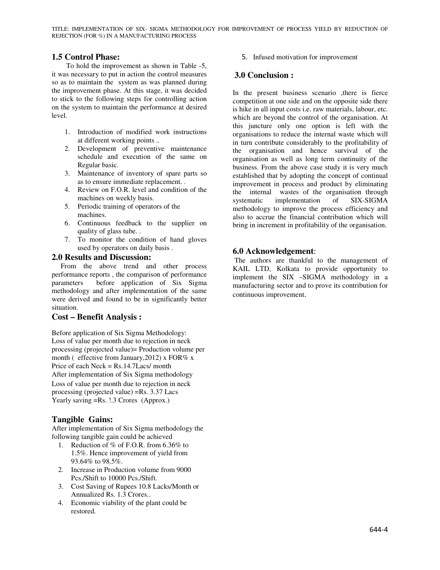## **1.5 Control Phase:**

 To hold the improvement as shown in Table -5, it was necessary to put in action the control measures so as to maintain the system as was planned during the improvement phase. At this stage, it was decided to stick to the following steps for controlling action on the system to maintain the performance at desired level.

- 1. Introduction of modified work instructions at different working points ..
- 2. Development of preventive maintenance schedule and execution of the same on Regular basic.
- 3. Maintenance of inventory of spare parts so as to ensure immediate replacement. .
- 4. Review on F.O.R. level and condition of the machines on weekly basis.
- 5. Periodic training of operators of the machines.
- 6. Continuous feedback to the supplier on quality of glass tube. .
- 7. To monitor the condition of hand gloves used by operators on daily basis .

#### **2.0 Results and Discussion:**

 From the above trend and other process performance reports , the comparison of performance parameters before application of Six Sigma methodology and after implementation of the same were derived and found to be in significantly better situation.

#### **Cost – Benefit Analysis :**

Before application of Six Sigma Methodology: Loss of value per month due to rejection in neck processing (projected value)= Production volume per month ( effective from January, 2012) x FOR $\%$  x Price of each Neck = Rs.14.7Lacs/ month After implementation of Six Sigma methodology Loss of value per month due to rejection in neck processing (projected value) =Rs. 3.37 Lacs Yearly saving =Rs.  $\beta$ . Crores (Approx.)

## **Tangible Gains:**

After implementation of Six Sigma methodology the following tangible gain could be achieved

- 1. Reduction of % of F.O.R. from 6.36% to 1.5%. Hence improvement of yield from 93.64% to 98.5%.
- 2. Increase in Production volume from 9000 Pcs./Shift to 10000 Pcs./Shift.
- 3. Cost Saving of Rupees 10.8 Lacks/Month or Annualized Rs. 1.3 Crores..
- 4. Economic viability of the plant could be restored.

5. Infused motivation for improvement

# **3.0 Conclusion :**

In the present business scenario ,there is fierce competition at one side and on the opposite side there is hike in all input costs i.e. raw materials, labour, etc. which are beyond the control of the organisation. At this juncture only one option is left with the organisations to reduce the internal waste which will in turn contribute considerably to the profitability of the organisation and hence survival of the organisation as well as long term continuity of the business. From the above case study it is very much established that by adopting the concept of continual improvement in process and product by eliminating the internal wastes of the organisation through systematic implementation of SIX-SIGMA methodology to improve the process efficiency and also to accrue the financial contribution which will bring in increment in profitability of the organisation.

## **6.0 Acknowledgement**:

The authors are thankful to the management of KAIL LTD, Kolkata to provide opportunity to implement the SIX –SIGMA methodology in a manufacturing sector and to prove its contribution for continuous improvement.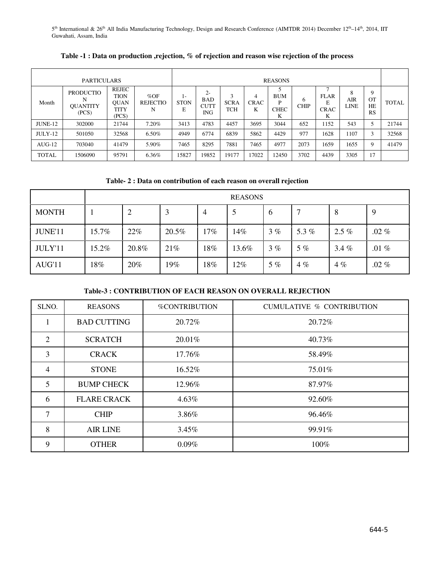5<sup>th</sup> International & 26<sup>th</sup> All India Manufacturing Technology, Design and Research Conference (AIMTDR 2014) December 12<sup>th</sup>–14<sup>th</sup>, 2014, IIT Guwahati, Assam, India

Table -1 : Data on production, rejection, % of rejection and reason wise rejection of the process

| <b>PARTICULARS</b> |                                                   |                                               |                                | <b>REASONS</b>         |                                          |                           |                       |                                     |                  |                                 |                         |                            |              |
|--------------------|---------------------------------------------------|-----------------------------------------------|--------------------------------|------------------------|------------------------------------------|---------------------------|-----------------------|-------------------------------------|------------------|---------------------------------|-------------------------|----------------------------|--------------|
| Month              | <b>PRODUCTIO</b><br>N<br><b>OUANTITY</b><br>(PCS) | REJEC<br>TION<br><b>OUAN</b><br>TITY<br>(PCS) | % $OF$<br><b>REJECTIO</b><br>N | l-<br><b>STON</b><br>E | $2-$<br><b>BAD</b><br><b>CUTT</b><br>ING | <b>SCRA</b><br><b>TCH</b> | 4<br><b>CRAC</b><br>K | <b>BUM</b><br>D<br><b>CHEC</b><br>K | 6<br><b>CHIP</b> | <b>FLAR</b><br><b>CRAC</b><br>K | 8<br>AIR<br><b>LINE</b> | 9<br><b>OT</b><br>HE<br>RS | <b>TOTAL</b> |
| JUNE-12            | 302000                                            | 21744                                         | 7.20%                          | 3413                   | 4783                                     | 4457                      | 3695                  | 3044                                | 652              | 1152                            | 543                     | 5                          | 21744        |
| $JULY-12$          | 501050                                            | 32568                                         | 6.50%                          | 4949                   | 6774                                     | 6839                      | 5862                  | 4429                                | 977              | 1628                            | 1107                    | 3                          | 32568        |
| $AUG-12$           | 703040                                            | 41479                                         | 5.90%                          | 7465                   | 8295                                     | 7881                      | 7465                  | 4977                                | 2073             | 1659                            | 1655                    | 9                          | 41479        |
| TOTAL              | 1506090                                           | 95791                                         | 6.36%                          | 15827                  | 19852                                    | 19177                     | 17022                 | 12450                               | 3702             | 4439                            | 3305                    | 17                         |              |

**Table- 2 : Data on contribution of each reason on overall rejection**

|              | <b>REASONS</b> |       |       |        |       |    |       |         |         |
|--------------|----------------|-------|-------|--------|-------|----|-------|---------|---------|
| <b>MONTH</b> |                | 2     | 3     | 4      | 5     | 6  |       | 8       | 9       |
| JUNE'11      | 15.7%          | 22%   | 20.5% | $17\%$ | 14%   | 3% | 5.3%  | $2.5\%$ | $.02\%$ |
| JULY'11      | 15.2%          | 20.8% | 21%   | $18\%$ | 13.6% | 3% | $5\%$ | 3.4%    | .01 $%$ |
| AUG'11       | 18%            | 20%   | 19%   | $18\%$ | 12%   | 5% | $4\%$ | 4%      | $.02\%$ |

#### **Table-3 : CONTRIBUTION OF EACH REASON ON OVERALL REJECTION**

| SLNO.          | <b>REASONS</b>     | <b>%CONTRIBUTION</b> | <b>CUMULATIVE % CONTRIBUTION</b> |
|----------------|--------------------|----------------------|----------------------------------|
| -1             | <b>BAD CUTTING</b> | 20.72%               | 20.72%                           |
| $\overline{2}$ | <b>SCRATCH</b>     | 20.01%               | 40.73%                           |
| 3              | <b>CRACK</b>       | 17.76%               | 58.49%                           |
| 4              | <b>STONE</b>       | 16.52%               | 75.01%                           |
| 5              | <b>BUMP CHECK</b>  | 12.96%               | 87.97%                           |
| 6              | <b>FLARE CRACK</b> | 4.63%                | 92.60%                           |
| 7              | <b>CHIP</b>        | 3.86%                | 96.46%                           |
| 8              | <b>AIR LINE</b>    | 3.45%                | 99.91%                           |
| 9              | <b>OTHER</b>       | 0.09%                | 100%                             |